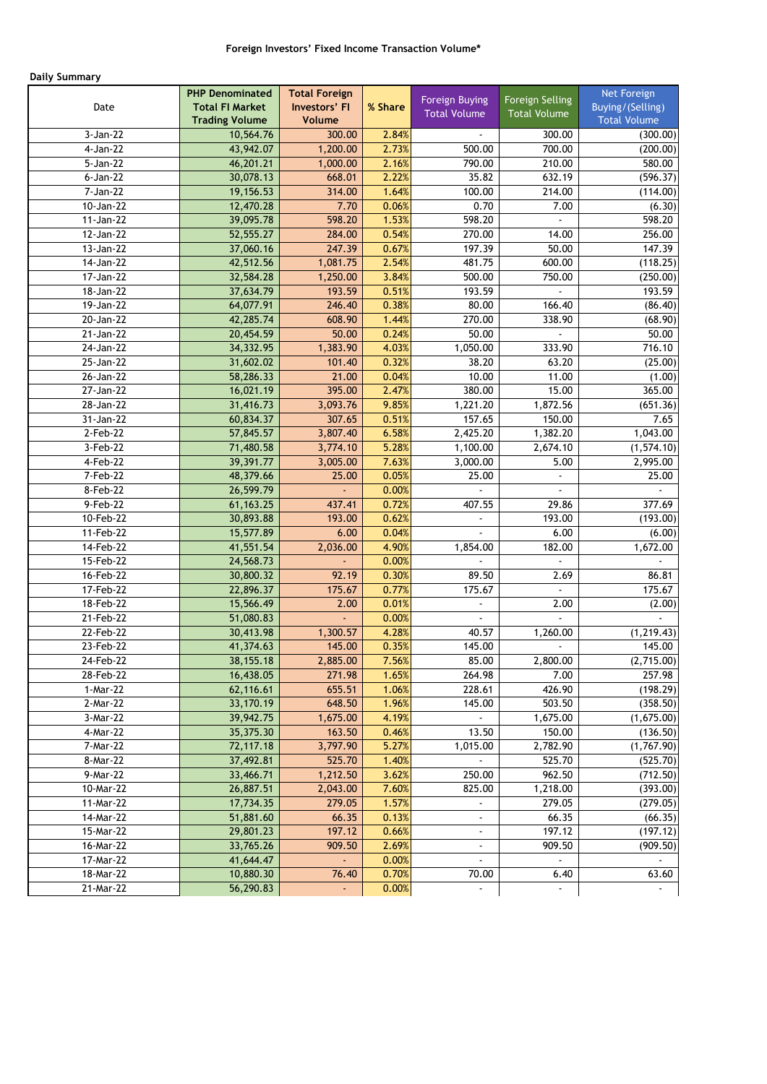# **Daily Summary**

|                          | <b>PHP Denominated</b> | <b>Total Foreign</b> |                | <b>Foreign Buying</b> | Foreign Selling     | Net Foreign         |
|--------------------------|------------------------|----------------------|----------------|-----------------------|---------------------|---------------------|
| Date                     | <b>Total FI Market</b> | Investors' FI        | % Share        | <b>Total Volume</b>   | <b>Total Volume</b> | Buying/(Selling)    |
|                          | <b>Trading Volume</b>  | Volume               |                |                       |                     | <b>Total Volume</b> |
| 3-Jan-22                 | 10,564.76              | 300.00               | 2.84%          |                       | 300.00              | (300.00)            |
| 4-Jan-22                 | 43,942.07              | 1,200.00             | 2.73%          | 500.00                | 700.00              | (200.00)            |
| 5-Jan-22                 | 46,201.21              | 1,000.00             | 2.16%          | 790.00                | 210.00              | 580.00              |
| 6-Jan-22<br>7-Jan-22     | 30,078.13              | 668.01               | 2.22%<br>1.64% | 35.82<br>100.00       | 632.19              | (596.37)            |
| 10-Jan-22                | 19,156.53              | 314.00<br>7.70       | 0.06%          | 0.70                  | 214.00<br>7.00      | (114.00)            |
| $11-Jan-22$              | 12,470.28<br>39,095.78 | 598.20               | 1.53%          | 598.20                |                     | (6.30)<br>598.20    |
| 12-Jan-22                | 52,555.27              | 284.00               | 0.54%          | 270.00                | 14.00               | 256.00              |
| 13-Jan-22                | 37,060.16              | 247.39               | 0.67%          | 197.39                | 50.00               | 147.39              |
| 14-Jan-22                | 42,512.56              | 1,081.75             | 2.54%          | 481.75                | 600.00              | (118.25)            |
| 17-Jan-22                | 32,584.28              | 1,250.00             | 3.84%          | 500.00                | 750.00              | (250.00)            |
| 18-Jan-22                | 37,634.79              | 193.59               | 0.51%          | 193.59                | $\overline{a}$      | 193.59              |
| 19-Jan-22                | 64,077.91              | 246.40               | 0.38%          | 80.00                 | 166.40              | (86.40)             |
| 20-Jan-22                | 42,285.74              | 608.90               | 1.44%          | 270.00                | 338.90              | (68.90)             |
| 21-Jan-22                | 20,454.59              | 50.00                | 0.24%          | 50.00                 |                     | 50.00               |
| 24-Jan-22                | 34,332.95              | 1,383.90             | 4.03%          | 1,050.00              | 333.90              | 716.10              |
| 25-Jan-22                | 31,602.02              | 101.40               | 0.32%          | 38.20                 | 63.20               | (25.00)             |
| 26-Jan-22                | 58,286.33              | 21.00                | 0.04%          | 10.00                 | 11.00               | (1.00)              |
| 27-Jan-22                | 16,021.19              | 395.00               | 2.47%          | 380.00                | 15.00               | 365.00              |
| 28-Jan-22                | 31,416.73              | 3,093.76             | 9.85%          | 1,221.20              | 1,872.56            | (651.36)            |
| 31-Jan-22                | 60,834.37              | 307.65               | 0.51%          | 157.65                | 150.00              | 7.65                |
| 2-Feb-22                 | 57,845.57              | 3,807.40             | 6.58%          | 2,425.20              | 1,382.20            | 1,043.00            |
| 3-Feb-22                 | 71,480.58              | 3,774.10             | 5.28%          | 1,100.00              | 2,674.10            | (1, 574.10)         |
| 4-Feb-22                 | 39,391.77              | 3,005.00             | 7.63%          | 3,000.00              | 5.00                | 2,995.00            |
| 7-Feb-22                 | 48,379.66              | 25.00                | 0.05%          | 25.00                 |                     | 25.00               |
| 8-Feb-22                 | 26,599.79              |                      | 0.00%          |                       |                     |                     |
| 9-Feb-22                 | 61, 163. 25            | 437.41               | 0.72%          | 407.55                | 29.86               | 377.69              |
| 10-Feb-22                | 30,893.88              | 193.00               | 0.62%          | ÷.                    | 193.00              | (193.00)            |
| 11-Feb-22                | 15,577.89              | 6.00                 | 0.04%          |                       | 6.00                | (6.00)              |
| 14-Feb-22                | 41,551.54              | 2,036.00             | 4.90%          | 1,854.00              | 182.00              | 1,672.00            |
| 15-Feb-22                | 24,568.73              |                      | 0.00%          |                       |                     |                     |
| 16-Feb-22                | 30,800.32              | 92.19                | 0.30%          | 89.50                 | 2.69                | 86.81               |
| 17-Feb-22                | 22,896.37              | 175.67               | 0.77%          | 175.67                |                     | 175.67              |
| 18-Feb-22                | 15,566.49              | 2.00                 | 0.01%          | L.                    | 2.00                | (2.00)              |
| 21-Feb-22                | 51,080.83              |                      | 0.00%          | $\blacksquare$        |                     |                     |
| 22-Feb-22                | 30,413.98              | 1,300.57             | 4.28%          | 40.57                 | 1,260.00            | (1, 219.43)         |
| 23-Feb-22                | 41,374.63              | 145.00               | 0.35%          | 145.00                |                     | 145.00              |
| 24-Feb-22                | 38, 155. 18            | 2,885.00             | 7.56%          | 85.00                 | 2,800.00            | (2,715.00)          |
| 28-Feb-22                | 16,438.05              | 271.98               | 1.65%          | 264.98                | 7.00                | 257.98              |
| 1-Mar-22                 | 62,116.61              | 655.51               | 1.06%          | 228.61                | 426.90              | (198.29)            |
| 2-Mar-22                 | 33,170.19              | 648.50               | 1.96%          | 145.00                | 503.50              | (358.50)            |
| 3-Mar-22                 | 39,942.75              | 1,675.00             | 4.19%          |                       | 1,675.00            | (1,675.00)          |
| 4-Mar-22                 | 35,375.30              | 163.50               | 0.46%          | 13.50                 | 150.00              | (136.50)            |
| 7-Mar-22                 | 72,117.18              | 3,797.90             | 5.27%          | 1,015.00              | 2,782.90            | (1,767.90)          |
| 8-Mar-22                 | 37,492.81              | 525.70               | 1.40%          |                       | 525.70              | (525.70)            |
| $9-Mar-22$               | 33,466.71              | 1,212.50             | 3.62%          | 250.00                | 962.50              | (712.50)            |
| 10-Mar-22                | 26,887.51              | 2,043.00             | 7.60%          | 825.00                | 1,218.00            | (393.00)            |
| 11-Mar-22                | 17,734.35              | 279.05               | 1.57%          | $\blacksquare$        | 279.05              | (279.05)            |
| 14-Mar-22                | 51,881.60              | 66.35                | 0.13%          | ۰                     | 66.35               | (66.35)             |
| 15-Mar-22                | 29,801.23              | 197.12               | 0.66%          | $\blacksquare$        | 197.12              | (197.12)            |
| 16-Mar-22                | 33,765.26              | 909.50               | 2.69%          |                       | 909.50              | (909.50)            |
| 17-Mar-22<br>$18-Mar-22$ | 41,644.47<br>10,880.30 | 76.40                | 0.00%<br>0.70% | 70.00                 | 6.40                | 63.60               |
| 21-Mar-22                | 56,290.83              |                      | 0.00%          | ä,                    |                     |                     |
|                          |                        | ÷                    |                |                       |                     |                     |